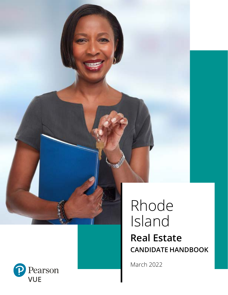

# Rhode Island **Real Estate CANDIDATE HANDBOOK**

March 2022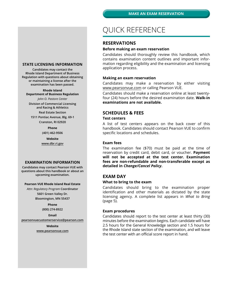## QUICK REFERENCE

#### **RESERVATIONS**

#### **Before making an exam reservation**

Candidates should thoroughly review this handbook, which contains examination content outlines and important information regarding eligibility and the examination and licensing application process.

#### **Making an exam reservation**

Candidates may make a reservation by either visiting www.pearsonvue.com or calling Pearson VUE.

Candidates should make a reservation online at least twentyfour (24) hours before the desired examination date. **Walk-in examinations are not available.**

## **SCHEDULES & FEES**

#### **Test centers**

A list of test centers appears on the back cover of this handbook. Candidates should contact Pearson VUE to confirm specific locations and schedules.

#### **Exam fees**

The examination fee (\$70) must be paid at the time of reservation by credit card, debit card, or voucher. **Payment will not be accepted at the test center. Examination fees are non-refundable and non-transferable except as detailed in** *Change/Cancel Policy***.**

#### **EXAM DAY**

#### **What to bring to the exam**

Candidates should bring to the examination proper identification and other materials as dictated by the state licensing agency. A complete list appears in *What to Bring*  (page 5).

#### **Exam procedures**

Candidates should report to the test center at least thirty (30) minutes before the examination begins. Each candidate will have 2.5 hours for the General Knowledge section and 1.5 hours for the Rhode Island state section of the examination, and will leave the test center with an official score report in hand.

#### **STATE LICENSING INFORMATION**

**Candidates may contact the Rhode Island Department of Business Regulation with questions about obtaining or maintaining a license after the examination has been passed.**

#### **Rhode Island**

**Department of Business Regulation**

*John O. Pastore Center* **Division of Commercial Licensing and Racing & Athletics**

**Real Estate Section**

**1511 Pontiac Avenue, Blg. 69-1 Cranston, RI 02920**

**Phone**

**(401) 462-9506**

**Website www.dbr.ri.gov**

#### **EXAMINATION INFORMATION**

**Candidates may contact Pearson VUE with questions about this handbook or about an upcoming examination.**

#### **Pearson VUE Rhode Island Real Estate**

*Attn: Regulatory Program* **Coordinator 5601 Green Valley Dr. Bloomington, MN 55437**

**Phone**

**(800) 274-8922**

**Email pearsonvuecustomerservice@pearson.com**

> **Website www.pearsonvue.com**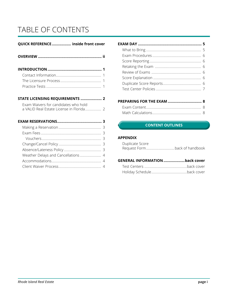## TABLE OF CONTENTS

## **QUICK REFERENCE.................. inside front cover**

**INTRODUCTION ................................................... 1** Contact Information................................................... 1

### **STATE LICENSING REQUIREMENTS .................... 2**

| Exam Waivers for candidates who hold |  |
|--------------------------------------|--|
|                                      |  |

## **EXAM RESERVATIONS.......................................... 3**

### **PREPARING FOR THE EXAM ................................ 8** Evam Contont.

## **CONTENT OUTLINES CONTENT OUTLINES**

### **APPENDIX**

| Duplicate Score |  |
|-----------------|--|
|                 |  |

## **GENERAL INFORMATION....................back cover**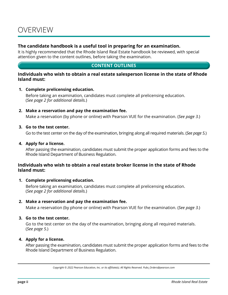## **The candidate handbook is a useful tool in preparing for an examination.**

It is highly recommended that the Rhode Island Real Estate handbook be reviewed, with special attention given to the content outlines, before taking the examination.

## **CONTENT OUTLINES**

## **Individuals who wish to obtain a real estate salesperson license in the state of Rhode Island must:**

## **1. Complete prelicensing education.**

Before taking an examination, candidates must complete all prelicensing education. (*See page 2 for additional details.*)

## **2. Make a reservation and pay the examination fee.**

Make a reservation (by phone or online) with Pearson VUE for the examination. (*See page 3.*)

## **3. Go to the test center.**

Go to the test center on the day of the examination, bringing along all required materials. (*See page 5.*)

## **4. Apply for a license.**

After passing the examination, candidates must submit the proper application forms and fees to the Rhode Island Department of Business Regulation.

## **Individuals who wish to obtain a real estate broker license in the state of Rhode Island must:**

## **1. Complete prelicensing education.**

Before taking an examination, candidates must complete all prelicensing education. (*See page 2 for additional details.*)

## **2. Make a reservation and pay the examination fee.**

Make a reservation (by phone or online) with Pearson VUE for the examination. (*See page 3.*)

## **3. Go to the test center.**

Go to the test center on the day of the examination, bringing along all required materials. (*See page 5.*)

## **4. Apply for a license.**

After passing the examination, candidates must submit the proper application forms and fees to the Rhode Island Department of Business Regulation.

*Copyright © 2022 Pearson Education, Inc. or its affiliate(s). All Rights Reserved. Pubs\_Orders@pearson.com*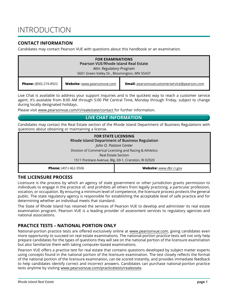## **CONTACT INFORMATION**

Candidates may contact Pearson VUE with questions about this handbook or an examination.

| <b>FOR EXAMINATIONS</b><br>Pearson VUE/Rhode Island Real Estate<br>Attn: Regulatory Program<br>5601 Green Valley Dr., Bloomington, MN 55437 |                             |                                                     |
|---------------------------------------------------------------------------------------------------------------------------------------------|-----------------------------|-----------------------------------------------------|
| <b>Phone:</b> (800) 274-8922                                                                                                                | Website: www.pearsonvue.com | <b>Email:</b> pearsonvuecustomerservice@pearson.com |

Live Chat is available to address your support inquiries and is the quickest way to reach a customer service agent. It's available from 8:00 AM through 5:00 PM Central Time, Monday through Friday, subject to change during locally designated holidays.

Please visit www.pearsonvue.com/ri/realestate/contact for further information.

## **LIVE CHAT INFORMATION**

Candidates may contact the Real Estate section of the Rhode Island Department of Business Regulations with questions about obtaining or maintaining a license.

| <b>FOR STATE LICENSING</b><br><b>Rhode Island Department of Business Regulation</b> |                         |  |
|-------------------------------------------------------------------------------------|-------------------------|--|
| John O. Pastore Center                                                              |                         |  |
| Division of Commerical Licensing and Racing & Athletics                             |                         |  |
| <b>Real Estate Section</b>                                                          |                         |  |
| 1511 Pontiace Avenue, Blg. 69-1, Cranston, RI 02920                                 |                         |  |
| <b>Phone:</b> (401) 462-9506                                                        | Website: www.dbr.ri.gov |  |

## **THE LICENSURE PROCESS**

Licensure is the process by which an agency of state government or other jurisdiction grants permission to individuals to engage in the practice of, and prohibits all others from legally practicing, a particular profession, vocation, or occupation. By ensuring a minimum level of competence, the licensure process protects the general public. The state regulatory agency is responsible for establishing the acceptable level of safe practice and for determining whether an individual meets that standard.

The State of Rhode Island has retained the services of Pearson VUE to develop and administer its real estate examination program. Pearson VUE is a leading provider of assessment services to regulatory agencies and national associations.

## **PRACTICE TESTS – NATIONAL PORTION ONLY**

National-portion practice tests are offered exclusively online at www.pearsonvue.com, giving candidates even more opportunity to succeed on real estate examinations. The national-portion practice tests will not only help prepare candidates for the types of questions they will see on the national portion of the licensure examination but also familiarize them with taking computer-based examinations.

Pearson VUE offers a practice test for real estate that contains questions developed by subject matter experts using concepts found in the national portion of the licensure examination. The test closely reflects the format of the national portion of the licensure examination, can be scored instantly, and provides immediate feedback to help candidates identify correct and incorrect answers. Candidates can purchase national-portion practice tests anytime by visiting www.pearsonvue.com/practicetests/realestate.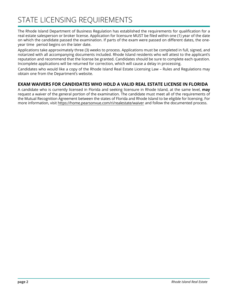The Rhode Island Department of Business Regulation has established the requirements for qualification for a real estate salesperson or broker license. Application for licensure MUST be filed within one (1) year of the date on which the candidate passed the examination. If parts of the exam were passed on different dates, the oneyear time period begins on the later date.

Applications take approximately three (3) weeks to process. Applications must be completed in full, signed, and notarized with all accompanying documents included. Rhode Island residents who will attest to the applicant's reputation and recommend that the license be granted. Candidates should be sure to complete each question. Incomplete applications will be returned for correction, which will cause a delay in processing.

Candidates who would like a copy of the Rhode Island Real Estate Licensing Law – Rules and Regulations may obtain one from the Department's website.

## **EXAM WAIVERS FOR CANDIDATES WHO HOLD A VALID REAL ESTATE LICENSE IN FLORIDA**

A candidate who is currently licensed in Florida and seeking licensure in Rhode Island, at the same level, **may** request a waiver of the general portion of the examination. The candidate must meet all of the requirements of the Mutual Recognition Agreement between the states of Florida and Rhode Island to be eligible for licensing. For more information, visit https://home.pearsonvue.com/ri/realestate/waiver and follow the documented process.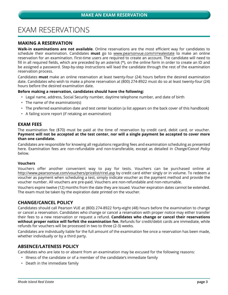## EXAM RESERVATIONS

## **MAKING A RESERVATION**

**Walk-in examinations are not available**. Online reservations are the most efficient way for candidates to schedule their examination. Candidates **must** go to www.pearsonvue.com/ri/realestate to make an online reservation for an examination. First-time users are required to create an account. The candidate will need to fill in all required fields, which are preceded by an asterisk (\*), on the online form in order to create an ID and be assigned a password. Step-by-step instructions will lead the candidate through the rest of the examination reservation process.

Candidates **must** make an online reservation at least twenty-four (24) hours before the desired examination date. Candidates who wish to make a phone reservation at (800) 274-8922 must do so at least twenty-four (24) hours before the desired examination date.

#### **Before making a reservation, candidates should have the following:**

- Legal name, address, Social Security number, daytime telephone number, and date of birth
- The name of the examination(s)
- The preferred examination date and test center location (a list appears on the back cover of this handbook)
- A failing score report (if retaking an examination)

### **EXAM FEES**

The examination fee (\$70) must be paid at the time of reservation by credit card, debit card, or voucher. **Payment will not be accepted at the test center, nor will a single payment be accepted to cover more than one candidate.** 

Candidates are responsible for knowing all regulations regarding fees and examination scheduling as presented here. Examination fees are non-refundable and non-transferable, except as detailed in *Change/Cancel Policy*  below.

#### **Vouchers**

Vouchers offer another convenient way to pay for tests. Vouchers can be purchased online at http://www.pearsonvue.com/vouchers/pricelist/rirel.asp by credit card either singly or in volume. To redeem a voucher as payment when scheduling a test, simply indicate voucher as the payment method and provide the voucher number. All vouchers are pre-paid. Vouchers are non-refundable and non-returnable.

Vouchers expire twelve (12) months from the date they are issued. Voucher expiration dates cannot be extended. The exam must be taken by the expiration date printed on the voucher.

## **CHANGE/CANCEL POLICY**

Candidates should call Pearson VUE at (800) 274-8922 forty-eight (48) hours before the examination to change or cancel a reservation. Candidates who change or cancel a reservation with proper notice may either transfer their fees to a new reservation or request a refund. **Candidates who change or cancel their reservations without proper notice will forfeit the examination fee.** Refunds for credit/debit cards are immediate, while refunds for vouchers will be processed in two to three (2-3) weeks.

Candidates are individually liable for the full amount of the examination fee once a reservation has been made, whether individually or by a third party.

## **ABSENCE/LATENESS POLICY**

Candidates who are late to or absent from an examination may be excused for the following reasons:

- Illness of the candidate or of a member of the candidate's immediate family
- Death in the immediate family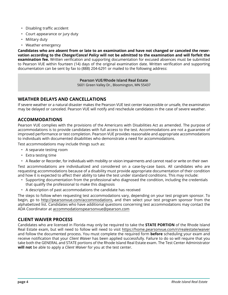- Disabling traffic accident
- Court appearance or jury duty
- Military duty
- Weather emergency

**Candidates who are absent from or late to an examination and have not changed or canceled the reservation according to the** *Change/Cancel Policy* **will not be admitted to the examination and will forfeit the examination fee.** Written verification and supporting documentation for excused absences must be submitted to Pearson VUE within fourteen (14) days of the original examination date. Written verification and supporting documentation can be sent by fax to (888) 204-6291 or mailed to the following address:

**Pearson VUE/Rhode Island Real Estate**

5601 Green Valley Dr., Bloomington, MN 55437

## **WEATHER DELAYS AND CANCELLATIONS**

If severe weather or a natural disaster makes the Pearson VUE test center inaccessible or unsafe, the examination may be delayed or canceled. Pearson VUE will notify and reschedule candidates in the case of severe weather.

## **ACCOMMODATIONS**

Pearson VUE complies with the provisions of the Americans with Disabilities Act as amended. The purpose of accommodations is to provide candidates with full access to the test. Accommodations are not a guarantee of improved performance or test completion. Pearson VUE provides reasonable and appropriate accommodations to individuals with documented disabilities who demonstrate a need for accommodations.

Test accommodations may include things such as:

- A separate testing room
- Extra testing time
- A Reader or Recorder, for individuals with mobility or vision impairments and cannot read or write on their own

Test accommodations are individualized and considered on a case-by-case basis. All candidates who are requesting accommodations because of a disability must provide appropriate documentation of their condition and how it is expected to affect their ability to take the test under standard conditions. This may include:

- Supporting documentation from the professional who diagnosed the condition, including the credentials that qualify the professional to make this diagnosis
- A description of past accommodations the candidate has received

The steps to follow when requesting test accommodations vary, depending on your test program sponsor. To begin, go to http://pearsonvue.com/accommodations, and then select your test program sponsor from the alphabetized list. Candidates who have additional questions concerning test accommodations may contact the ADA Coordinator at accommodationspearsonvue@pearson.com

## **CLIENT WAIVER PROCESS**

Candidates who are licensed in Florida may only be required to take the **STATE PORTION** of the Rhode Island Real Estate exam, but will need to follow will need to visit https://home.pearsonvue.com/ri/realestate/waiver and follow the documented process. You must complete the required form **before** scheduling your exam and receive notification that your *Client Waiver* has been applied successfully. Failure to do so will require that you take both the GENERAL and STATE portions of the Rhode Island Real Estate exam. The Test Center Administrator **will not** be able to apply a *Client Waiver* for you at the test center.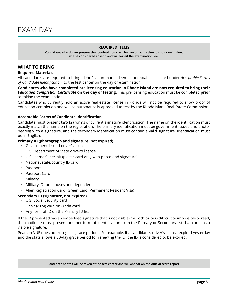#### **REQUIRED ITEMS**

**Candidates who do not present the required items will be denied admission to the examination, will be considered absent, and will forfeit the examination fee.**

## **WHAT TO BRING**

#### **Required Materials**

All candidates are required to bring identification that is deemed acceptable, as listed under *Acceptable Forms of Candidate Identification*, to the test center on the day of examination.

**Candidates who have completed prelicensing education in Rhode Island are now required to bring their**  *Education Completion Certificate* **on the day of testing.** This prelicensing education must be completed **prior** to taking the examination.

Candidates who currently hold an active real estate license in Florida will not be required to show proof of education completion and will be automatically approved to test by the Rhode Island Real Estate Commission.

#### **Acceptable Forms of Candidate Identification**

Candidate must present **two (2)** forms of current signature identification. The name on the identification must exactly match the name on the registration. The primary identification must be government-issued and photobearing with a signature, and the secondary identification must contain a valid signature. Identification must be in English.

#### **Primary ID (photograph and signature, not expired)**

- Government-issued driver's license
- U.S. Department of State driver's license
- U.S. learner's permit (plastic card only with photo and signature)
- National/state/country ID card
- Passport
- Passport Card
- Military ID
- Military ID for spouses and dependents

• Alien Registration Card (Green Card, Permanent Resident Visa)

#### **Secondary ID (signature, not expired)**

- U.S. Social Security card
- Debit (ATM) card or Credit card
- Any form of ID on the Primary ID list

If the ID presented has an embedded signature that is not visible (microchip), or is difficult or impossible to read, the candidate must present another form of identification from the Primary or Secondary list that contains a visible signature.

Pearson VUE does not recognize grace periods. For example, if a candidate's driver's license expired yesterday and the state allows a 30-day grace period for renewing the ID, the ID is considered to be expired.

**Candidate photos will be taken at the test center and will appear on the official score report.**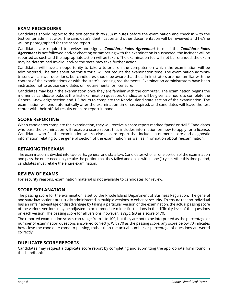## **EXAM PROCEDURES**

Candidates should report to the test center thirty (30) minutes before the examination and check in with the test center administrator. The candidate's identification and other documentation will be reviewed and he/she will be photographed for the score report.

Candidates are required to review and sign a *Candidate Rules Agreement* form. If the *Candidate Rules Agreement* is not followed and/or cheating or tampering with the examination is suspected, the incident will be reported as such and the appropriate action will be taken. The examination fee will not be refunded, the exam may be determined invalid, and/or the state may take further action.

Candidates will have an opportunity to take a tutorial on the computer on which the examination will be administered. The time spent on this tutorial will not reduce the examination time. The examination administrators will answer questions, but candidates should be aware that the administrators are not familiar with the content of the examinations or with the state's licensing requirements. Examination administrators have been instructed not to advise candidates on requirements for licensure.

Candidates may begin the examination once they are familiar with the computer. The examination begins the moment a candidate looks at the first examination question. Candidates will be given 2.5 hours to complete the General Knowledge section and 1.5 hours to complete the Rhode Island state section of the examination. The examination will end automatically after the examination time has expired, and candidates will leave the test center with their official results or score report in hand.

## **SCORE REPORTING**

When candidates complete the examination, they will receive a score report marked "pass" or "fail." Candidates who pass the examination will receive a score report that includes information on how to apply for a license. Candidates who fail the examination will receive a score report that includes a numeric score and diagnostic information relating to the general section of the examination, as well as information about reexamination.

## **RETAKING THE EXAM**

The examination is divided into two parts: general and state law. Candidates who fail one portion of the examination and pass the other need only retake the portion that they failed and do so within one (1) year. After this time period, candidates must retake the entire examination.

## **REVIEW OF EXAMS**

For security reasons, examination material is not available to candidates for review.

## **SCORE EXPLANATION**

The passing score for the examination is set by the Rhode Island Department of Business Regulation. The general and state law sections are usually administered in multiple versions to enhance security. To ensure that no individual has an unfair advantage or disadvantage by taking a particular version of the examination, the actual passing score of the various versions may be adjusted to accommodate minor fluctuations in the difficulty level of the questions on each version. The passing score for all versions, however, is *reported* as a score of 70.

The reported examination scores can range from 1 to 100, but they are not to be interpreted as the percentage or number of examination questions answered correctly. With 70 as the passing score, any score below 70 indicates how close the candidate came to passing, rather than the actual number or percentage of questions answered correctly.

## **DUPLICATE SCORE REPORTS**

Candidates may request a duplicate score report by completing and submitting the appropriate form found in this handbook.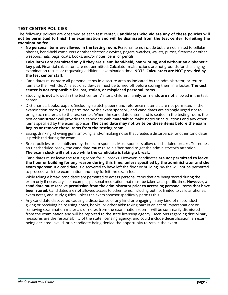## **TEST CENTER POLICIES**

The following policies are observed at each test center. **Candidates who violate any of these policies will not be permitted to finish the examination and will be dismissed from the test center, forfeiting the examination fee.**

- **No personal items are allowed in the testing room.** Personal items include but are not limited to cellular phones, hand-held computers or other electronic devices, pagers, watches, wallets, purses, firearms or other weapons, hats, bags, coats, books, and/or notes, pens, or pencils.
- **Calculators are permitted only if they are silent, hand-held, nonprinting, and without an alphabetic key pad.** Financial calculators are not permitted. Calculator malfunctions are not grounds for challenging examination results or requesting additional examination time. **NOTE: Calculators are NOT provided by the test center staff.**
- Candidates must store all personal items in a secure area as indicated by the administrator, or return items to their vehicle. All electronic devices must be turned off before storing them in a locker. **The test center is not responsible for lost, stolen, or misplaced personal items.**
- Studying **is not** allowed in the test center. Visitors, children, family, or friends **are not** allowed in the test center.
- Dictionaries, books, papers (including scratch paper), and reference materials are not permitted in the examination room (unless permitted by the exam sponsor), and candidates are strongly urged not to bring such materials to the test center. When the candidate enters and is seated in the testing room, the test administrator will provide the candidate with materials to make notes or calculations and any other items specified by the exam sponsor. **The candidate may not write on these items before the exam begins or remove these items from the testing room.**
- Eating, drinking, chewing gum, smoking, and/or making noise that creates a disturbance for other candidates is prohibited during the exam.
- Break policies are established by the exam sponsor. Most sponsors allow unscheduled breaks. To request an unscheduled break, the candidate **must** raise his/her hand to get the administrator's attention. **The exam clock will not stop while the candidate is taking a break.**
- Candidates must leave the testing room for all breaks. However, candidates **are not permitted to leave the floor or building for any reason during this time, unless specified by the administrator and the exam sponsor**. If a candidate is discovered to have left the floor or building, he/she will not be permitted to proceed with the examination and may forfeit the exam fee.
- While taking a break, candidates are permitted to access personal items that are being stored during the exam only if necessary—for example, personal medication that must be taken at a specific time. **However, a candidate must receive permission from the administrator prior to accessing personal items that have been stored**. Candidates are **not** allowed access to other items, including but not limited to cellular phones, exam notes, and study guides, unless the exam sponsor specifically permits this.
- Any candidate discovered causing a disturbance of any kind or engaging in any kind of misconduct giving or receiving help; using notes, books, or other aids; taking part in an act of impersonation; or removing examination materials or notes from the examination room—will be summarily dismissed from the examination and will be reported to the state licensing agency. Decisions regarding disciplinary measures are the responsibility of the state licensing agency, and could include decertification, an exam being declared invalid, or a candidate being denied the opportunity to retake the exam.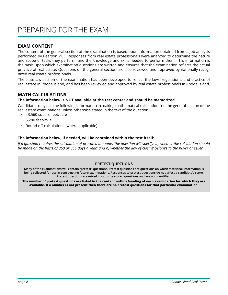## **EXAM CONTENT**

The content of the general section of the examination is based upon information obtained from a job analysis performed by Pearson VUE. Responses from real estate professionals were analyzed to determine the nature and scope of tasks they perform, and the knowledge and skills needed to perform them. This information is the basis upon which examination questions are written and ensures that the examination reflects the actual practice of real estate. Questions on the general section are also reviewed and approved by nationally recognized real estate professionals.

The state law section of the examination has been developed to reflect the laws, regulations, and practice of real estate in Rhode Island, and has been reviewed and approved by real estate professionals in Rhode Island.

## **MATH CALCULATIONS**

#### **The information below is NOT available at the test center and should be memorized.**

Candidates may use the following information in making mathematical calculations on the general section of the real estate examinations unless otherwise stated in the text of the question:

- 43,560 square feet/acre
- 5,280 feet/mile
- Round off calculations (where applicable)

#### **The information below, if needed, will be contained within the test itself:**

*If a question requires the calculation of prorated amounts, the question will specify: a) whether the calculation should be made on the basis of 360 or 365 days a year; and b) whether the day of closing belongs to the buyer or seller.*

#### **PRETEST QUESTIONS**

**Many of the examinations will contain "pretest" questions. Pretest questions are questions on which statistical information is being collected for use in constructing future examinations. Responses to pretest questions do not affect a candidate's score. Pretest questions are mixed in with the scored questions and are not identified.**

**The number of pretest questions are listed in the content outline heading of each examination for which they are available. If a number is not present then there are no pretest questions for that particular examination.**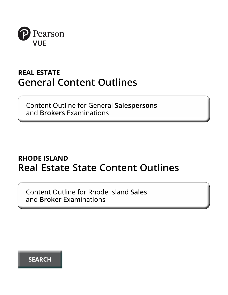

## **REAL ESTATE General Content Outlines**

**Content Outline for General Salespersons** and **Brokers** Examinations

## **RHODE ISLAND Real Estate State Content Outlines**

Content Outline for Rhode Island Sales and Broker Examinations

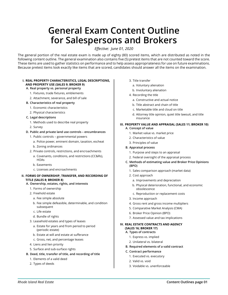## **General Exam Content Outline for Salespersons and Brokers**

*Effective: June 01, 2020*

The general portion of the real estate exam is made up of eighty (80) scored items, which are distributed as noted in the following content outline. The general examination also contains five (5) pretest items that are not counted toward the score. These items are used to gather statistics on performance and to help assess appropriateness for use on future examinations. Because pretest items look exactly like items that are scored, candidates should answer all the items on the examination.

#### **I. REAL PROPERTY CHARACTERISTICS, LEGAL DESCRIPTIONS, AND PROPERTY USE (SALES 9; BROKER 9)**

#### **A. Real property vs. personal property**

- 1. Fixtures, trade fixtures, emblements
- 2. Attachment, severance, and bill of sale
- **B. Characteristics of real property**
	- 1. Economic characteristics
	- 2. Physical characteristics

#### **C. Legal descriptions**

- 1. Methods used to describe real property
- 2. Survey
- **D. Public and private land use controls encumbrances**
	- 1. Public controls governmental powers
		- a. Police power, eminent domain, taxation, escheat
		- b. Zoning ordinances
	- 2. Private controls, restrictions, and encroachments
		- a. Covenants, conditions, and restrictions (CC&Rs), **HOAs**
		- b. Easements
		- c. Licenses and encroachments

#### **II. FORMS OF OWNERSHIP, TRANSFER, AND RECORDING OF TITLE (SALES 8; BROKER 8)**

- **A. Ownership, estates, rights, and interests**
	- 1. Forms of ownership
	- 2. Freehold estate
		- a. Fee simple absolute
		- b. Fee simple defeasible, determinable, and condition subsequent
		- c. Life estate
		- d. Bundle of rights
	- 3. Leasehold estates and types of leases
	- a. Estate for years and from period to period (periodic estate)
	- b. Estate at will and estate at sufferance
	- c. Gross, net, and percentage leases
	- 4. Liens and lien priority
	- 5. Surface and sub-surface rights
- **B. Deed, title, transfer of title, and recording of title**
	- 1. Elements of a valid deed
	- 2. Types of deeds
- 3. Title transfer
- a. Voluntary alienation
- b. Involuntary alienation
- 4. Recording the title
	- a. Constructive and actual notice
	- b. Title abstract and chain of title
	- c. Marketable title and cloud on title
	- d. Attorney title opinion, quiet title lawsuit, and title insurance

#### **III. PROPERTY VALUE AND APPRAISAL (SALES 11; BROKER 10) A. Concept of value**

- 1. Market value vs. market price
- 2. Characteristics of value
- 3. Principles of value
- **B. Appraisal process**
	- 1. Purpose and steps to an appraisal
	- 2. Federal oversight of the appraisal process
- **C. Methods of estimating value and Broker Price Opinions (BPO)**
	- 1. Sales comparison approach (market data)
	- 2. Cost approach
		- a. Improvements and depreciation
		- b. Physical deterioration, functional, and economic obsolescence
		- c. Reproduction or replacement costs
	- 3. Income approach
	- 4. Gross rent and gross income multipliers
	- 5. Comparative Market Analysis (CMA)
	- 6. Broker Price Opinion (BPO)
	- 7. Assessed value and tax implications

#### **IV. REAL ESTATE CONTRACTS AND AGENCY (SALES 16; BROKER 17)**

- **A. Types of contracts** 
	- 1. Express vs. implied
	- 2. Unilateral vs. bilateral
- **B. Required elements of a valid contract**
- **C. Contract performance** 
	- 1. Executed vs. executory
	- 2. Valid vs. void
	- 3. Voidable vs. unenforceable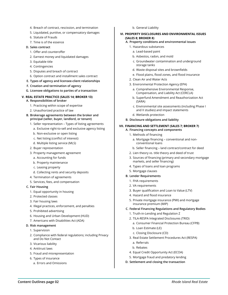- 4. Breach of contract, rescission, and termination
- 5. Liquidated, punitive, or compensatory damages
- 6. Statute of Frauds
- 7. Time is of the essence

#### **D. Sales contract**

- 1. Offer and counteroffer
- 2. Earnest money and liquidated damages
- 3. Equitable title
- 4. Contingencies
- 5. Disputes and breach of contract
- 6. Option contract and installment sales contract
- **E. Types of agency and licensee-client relationships**
- **F. Creation and termination of agency**
- **G. Licensee obligations to parties of a transaction**

#### **V. REAL ESTATE PRACTICE (SALES 14; BROKER 13)**

- **A. Responsibilities of broker**
	- 1. Practicing within scope of expertise
	- 2. Unauthorized practice of law
- **B. Brokerage agreements between the broker and principal (seller, buyer, landlord, or tenant)**
	- 1. Seller representation Types of listing agreements
		- a. Exclusive right-to-sell and exclusive agency listing
		- b. Non-exclusive or open listing
		- c. Net listing (conflict of interest)
		- d. Multiple listing service (MLS)
	- 2. Buyer representation
	- 3. Property management agreement
		- a. Accounting for funds
		- b. Property maintenance
		- c. Leasing property
		- d. Collecting rents and security deposits
	- 4. Termination of agreements
	- 5. Services, fees, and compensation
- **C. Fair Housing**
	- 1. Equal opportunity in housing
	- 2. Protected classes
	- 3. Fair housing laws
	- 4. Illegal practices, enforcement, and penalties
	- 5. Prohibited advertising
	- 6. Housing and Urban Development (HUD)
	- 7. Americans with Disabilities Act (ADA)

#### **D. Risk management**

- 1. Supervision
- 2. Compliance with federal regulations; including Privacy and Do Not Contact
- 3. Vicarious liability
- 4. Antitrust laws
- 5. Fraud and misrepresentation
- 6. Types of insurance
	- a. Errors and Omissions

#### b. General Liability

#### **VI. PROPERTY DISCLOSURES AND ENVIRONMENTAL ISSUES (SALES 8; BROKER 8)**

- **A. Property conditions and environmental issues**
	- 1. Hazardous substances
		- a. Lead-based paint
		- b. Asbestos, radon, and mold
		- c. Groundwater contamination and underground storage tanks
	- d. Waste disposal sites and brownfields
	- e. Flood plains, flood zones, and flood insurance
	- 2. Clean Air and Water Acts
	- 3. Environmental Protection Agency (EPA)
		- a. Comprehensive Environmental Response, Compensation, and Liability Act (CERCLA)
		- b. Superfund Amendment and Reauthorization Act (SARA)
		- c. Environmental site assessments (including Phase I and II studies) and impact statements
		- d. Wetlands protection
- **B. Disclosure obligations and liability**

#### **VII. FINANCING AND SETTLEMENT (SALES 7; BROKER 7)**

- **A. Financing concepts and components**
	- 1. Methods of financing
		- a. Mortgage financing conventional and nonconventional loans
		- b. Seller financing land contract/contract for deed
	- 2. Lien theory vs. title theory and deed of trust
	- 3. Sources of financing (primary and secondary mortgage markets, and seller financing)
	- 4. Types of loans and loan programs
- 5. Mortgage clauses
- **B. Lender Requirements**
	- 1. FHA requirements
	- 2. VA requirements
	- 3. Buyer qualification and Loan to Value (LTV)
	- 4. Hazard and flood insurance
	- 5. Private mortgage insurance (PMI) and mortgage insurance premium (MIP)
- **C. Federal Financing Regulations and Regulatory Bodies**
	- 1. Truth-in-Lending and Regulation Z
	- 2. TILA-RESPA Integrated Disclosures (TRID)
		- a. Consumer Financial Protection Bureau (CFPB)
		- b. Loan Estimate (LE)
		- c. Closing Disclosure (CD)
	- 3. Real Estate Settlement Procedures Act (RESPA)
		- a. Referrals
		- b. Rebates
	- 4. Equal Credit Opportunity Act (ECOA)
- 5. Mortgage fraud and predatory lending
- **D. Settlement and closing the transaction**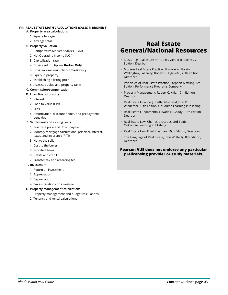#### **VIII. REAL ESTATE MATH CALCULATIONS (SALES 7; BROKER 8)**

#### **A. Property area calculations**

- 1. Square footage
- 2. Acreage total

#### **B. Property valuation**

- 1. Comparative Market Analysis (CMA)
- 2. Net Operating Income (NOI)
- 3. Capitalization rate
- 4. Gross rent multiplier- **Broker Only**
- 5. Gross income multiplier- **Broker Only**
- 6. Equity in property
- 7. Establishing a listing price
- 8. Assessed value and property taxes

#### **C. Commission/compensation**

#### **D. Loan financing costs**

- 1. Interest
- 2. Loan to Value (LTV)
- 3. Fees
- 4. Amortization, discount points, and prepayment penalties

#### **E. Settlement and closing costs**

- 1. Purchase price and down payment
- 2. Monthly mortgage calculations- principal, interest, taxes, and insurance (PITI)
- 3. Net to the seller
- 4. Cost to the buyer
- 5. Prorated items
- 6. Debits and credits
- 7. Transfer tax and recording fee

#### **F. Investment**

- 1. Return on investment
- 2. Appreciation
- 3. Depreciation
- 4. Tax implications on investment

#### **G. Property management calculations**

- 1. Property management and budget calculations
- 2. Tenancy and rental calculations

## **Real Estate General/National Resources**

- Mastering Real Estate Principles, Gerald R. Cortesi, 7th Edition, Dearborn
- Modern Real Estate Practice, Fillmore W. Galaty, Wellington J. Allaway, Robert C. Kyle, etc., 20th edition, Dearborn
- Principles of Real Estate Practice, Stephen Mettling, 6th Edition, Performance Programs Company
- Property Management, Robert C. Kyle, 10th Edition, Dearborn
- Real Estate Finance, J. Keith Baker and John P Wiedemer, 10th Edition, OnCourse Learning Publishing
- Real Estate Fundamentals, Wade E. Gaddy, 10th Edition Dearborn
- Real Estate Law, Charles J. Jacobus, 3rd Edition, OnCourse Learning Publishing
- Real Estate Law, Elliot Klayman, 10th Edition, Dearborn
- The Language of Real Estate, John W. Reilly, 8th Edition, Dearborn

#### **Pearson VUE does not endorse any particular prelicensing provider or study materials.**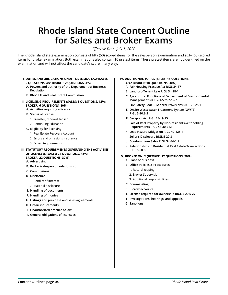## **Rhode Island State Content Outline for Sales and Broker Exams**

*Effective Date: July 1, 2020*

The Rhode Island state examination consists of fifty (50) scored items for the salesperson examination and sixty (60) scored items for broker examination. Both examinations also contain 10 pretest items. These pretest items are not identified on the examination and will not affect the candidate's score in any way.

#### **I. DUTIES AND OBLIGATIONS UNDER LICENSING LAW (SALES: 2 QUESTIONS, 4%; BROKER: 2 QUESTIONS, 3%)**

- **A. Powers and authority of the Department of Business Regulation**
- **B. Rhode Island Real Estate Commission**
- **II. LICENSING REQUIREMENTS (SALES: 6 QUESTIONS, 12%; BROKER: 6 QUESTIONS, 10%)**

#### **A. Activities requiring a license**

- **B. Status of license**
	- 1. Transfer, renewal, lapsed
	- 2. Continuing Education
- **C. Eligibility for licensing**
	- 1. Real Estate Recovery Account
	- 2. Errors and omissions insurance
	- 3. Other Requirements
- **III. STATUTORY REQUIREMENTS GOVERNING THE ACTIVITIES OF LICENSEES (SALES: 24 QUESTIONS, 48%; BROKER: 22 QUESTIONS, 37%)**
	- **A. Advertising**
	- **B. Broker/salesperson relationship**
	- **C. Commissions**
	- **D. Disclosure**
		- 1. Conflict of interest
		- 2. Material disclosure
	- **E. Handling of documents**
	- **F. Handling of monies**
	- **G. Listings and purchase and sales agreements**
	- **H. Unfair inducements**
	- **I. Unauthorized practice of law**
	- **J. General obligations of licensees**

#### **IV. ADDITIONAL TOPICS (SALES: 18 QUESTIONS, 36%; BROKER: 18 QUESTIONS, 30%)**

- **A. Fair Housing Practice Act RIGL 34-37-1**
- **B. Landlord-Tenant Law RIGL 34-18-1**
- **C. Agricultural Functions of Department of Environmental Management RIGL 2-1-5 to 2-1-27**
- **D. Fire Safety Code General Provisions RIGL 23-28.1**
- **E. Onsite Wastewater Treatment System (OWTS) RIGL 5-20.8-2**
- **F. Cesspool Act RIGL 23-19.15**
- **G. Sale of Real Property by Non-residents-Withholding Requirements RIGL 44-30-71.3**
- **H. Lead Hazard Mitigation RIGL 42-128.1**
- **I. Seller's Disclosure RIGL 5-20.8**
- **J. Condominium Sales RIGL 34-36-1.1**
- **K. Relationships in Residential Real Estate Transactions RIGL 5-20.6**
- **V. BROKER ONLY (BROKER: 12 QUESTIONS, 20%)**
	- **A. Place of business**
	- **B. Office Policies & Procedures**
		- 1. Record keeping
		- 2. Broker Supervision
		- 3. Additional responsibilities
	- **C. Commingling**
	- **D. Escrow accounts**
	- **E. License required for ownership RIGL 5-20.5-27**
	- **F. Investigations, hearings, and appeals**
	- **G. Sanctions**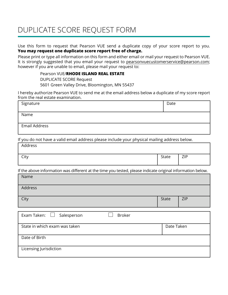## DUPLICATE SCORE REQUEST FORM

Use this form to request that Pearson VUE send a duplicate copy of your score report to you. **You may request one duplicate score report free of charge.**

Please print or type all information on this form and either email or mail your request to Pearson VUE. It is strongly suggested that you email your request to pearsonvuecustomerservice@pearson.com; however if you are unable to email, please mail your request to:

> Pearson VUE/**RHODE ISLAND REAL ESTATE** DUPLICATE SCORE Request 5601 Green Valley Drive, Bloomington, MN 55437

I hereby authorize Pearson VUE to send me at the email address below a duplicate of my score report from the real estate examination.

| Signature                                                                                                  | Date         |            |
|------------------------------------------------------------------------------------------------------------|--------------|------------|
| Name                                                                                                       |              |            |
| <b>Email Address</b>                                                                                       |              |            |
| If you do not have a valid email address please include your physical mailing address below.               |              |            |
| Address                                                                                                    |              |            |
| City                                                                                                       | State        | <b>ZIP</b> |
| If the above information was different at the time you tested, please indicate original information below. |              |            |
| Name                                                                                                       |              |            |
| Address                                                                                                    |              |            |
| City                                                                                                       | <b>State</b> | <b>ZIP</b> |
|                                                                                                            |              |            |
| Exam Taken:<br><b>Broker</b><br>Salesperson                                                                |              |            |

| State in which exam was taken | Date Taken |
|-------------------------------|------------|
| Date of Birth                 |            |
| Licensing Jurisdiction        |            |